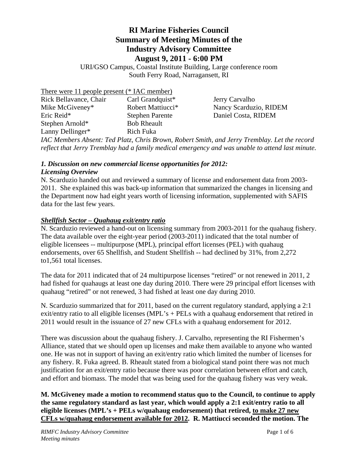#### **RI Marine Fisheries Council Summary of Meeting Minutes of the Industry Advisory Committee August 9, 2011 - 6:00 PM**

URI/GSO Campus, Coastal Institute Building, Large conference room South Ferry Road, Narragansett, RI

There were 11 people present (\* IAC member)

| Carl Grandquist*       |
|------------------------|
| Robert Mattiucci*      |
| <b>Stephen Parente</b> |
| <b>Bob Rheault</b>     |
| Rich Fuka              |
|                        |

Jerry Carvalho Nancy Scarduzio, RIDEM Daniel Costa, RIDEM

*IAC Members Absent: Ted Platz, Chris Brown, Robert Smith, and Jerry Tremblay. Let the record reflect that Jerry Tremblay had a family medical emergency and was unable to attend last minute.*

#### *1. Discussion on new commercial license opportunities for 2012:*

#### *Licensing Overview*

N. Scarduzio handed out and reviewed a summary of license and endorsement data from 2003- 2011. She explained this was back-up information that summarized the changes in licensing and the Department now had eight years worth of licensing information, supplemented with SAFIS data for the last few years.

#### *Shellfish Sector – Quahaug exit/entry ratio*

N. Scarduzio reviewed a hand-out on licensing summary from 2003-2011 for the quahaug fishery. The data available over the eight-year period (2003-2011) indicated that the total number of eligible licensees -- multipurpose (MPL), principal effort licenses (PEL) with quahaug endorsements, over 65 Shellfish, and Student Shellfish -- had declined by 31%, from 2,272 to1,561 total licenses.

The data for 2011 indicated that of 24 multipurpose licenses "retired" or not renewed in 2011, 2 had fished for quahaugs at least one day during 2010. There were 29 principal effort licenses with quahaug "retired" or not renewed, 3 had fished at least one day during 2010.

N. Scarduzio summarized that for 2011, based on the current regulatory standard, applying a 2:1 exit/entry ratio to all eligible licenses (MPL's + PELs with a quahaug endorsement that retired in 2011 would result in the issuance of 27 new CFLs with a quahaug endorsement for 2012.

There was discussion about the quahaug fishery. J. Carvalho, representing the RI Fishermen's Alliance, stated that we should open up licenses and make them available to anyone who wanted one. He was not in support of having an exit/entry ratio which limited the number of licenses for any fishery. R. Fuka agreed. B. Rheault stated from a biological stand point there was not much justification for an exit/entry ratio because there was poor correlation between effort and catch, and effort and biomass. The model that was being used for the quahaug fishery was very weak.

**M. McGiveney made a motion to recommend status quo to the Council, to continue to apply the same regulatory standard as last year, which would apply a 2:1 exit/entry ratio to all eligible licenses (MPL's + PELs w/quahaug endorsement) that retired, to make 27 new CFLs w/quahaug endorsement available for 2012. R. Mattiucci seconded the motion. The**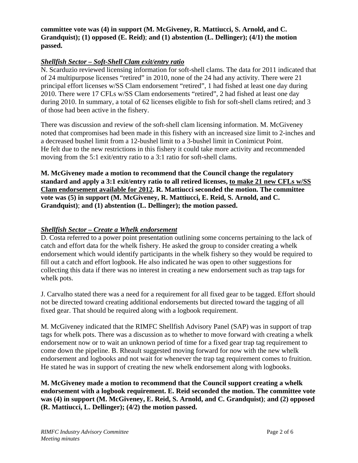#### **committee vote was (4) in support (M. McGiveney, R. Mattiucci, S. Arnold, and C. Grandquist); (1) opposed (E. Reid)**; **and (1) abstention (L. Dellinger); (4/1) the motion passed.**

#### *Shellfish Sector – Soft-Shell Clam exit/entry ratio*

N. Scarduzio reviewed licensing information for soft-shell clams. The data for 2011 indicated that of 24 multipurpose licenses "retired" in 2010, none of the 24 had any activity. There were 21 principal effort licenses w/SS Clam endorsement "retired", 1 had fished at least one day during 2010. There were 17 CFLs w/SS Clam endorsements "retired", 2 had fished at least one day during 2010. In summary, a total of 62 licenses eligible to fish for soft-shell clams retired; and 3 of those had been active in the fishery.

There was discussion and review of the soft-shell clam licensing information. M. McGiveney noted that compromises had been made in this fishery with an increased size limit to 2-inches and a decreased bushel limit from a 12-bushel limit to a 3-bushel limit in Conimicut Point. He felt due to the new restrictions in this fishery it could take more activity and recommended moving from the 5:1 exit/entry ratio to a 3:1 ratio for soft-shell clams.

**M. McGiveney made a motion to recommend that the Council change the regulatory standard and apply a 3:1 exit/entry ratio to all retired licenses, to make 21 new CFLs w/SS Clam endorsement available for 2012. R. Mattiucci seconded the motion. The committee vote was (5) in support (M. McGiveney, R. Mattiucci, E. Reid, S. Arnold, and C. Grandquist)**; **and (1) abstention (L. Dellinger); the motion passed.** 

#### *Shellfish Sector – Create a Whelk endorsement*

D. Costa referred to a power point presentation outlining some concerns pertaining to the lack of catch and effort data for the whelk fishery. He asked the group to consider creating a whelk endorsement which would identify participants in the whelk fishery so they would be required to fill out a catch and effort logbook. He also indicated he was open to other suggestions for collecting this data if there was no interest in creating a new endorsement such as trap tags for whelk pots.

J. Carvalho stated there was a need for a requirement for all fixed gear to be tagged. Effort should not be directed toward creating additional endorsements but directed toward the tagging of all fixed gear. That should be required along with a logbook requirement.

M. McGiveney indicated that the RIMFC Shellfish Advisory Panel (SAP) was in support of trap tags for whelk pots. There was a discussion as to whether to move forward with creating a whelk endorsement now or to wait an unknown period of time for a fixed gear trap tag requirement to come down the pipeline. B. Rheault suggested moving forward for now with the new whelk endorsement and logbooks and not wait for whenever the trap tag requirement comes to fruition. He stated he was in support of creating the new whelk endorsement along with logbooks.

**M. McGiveney made a motion to recommend that the Council support creating a whelk endorsement with a logbook requirement. E. Reid seconded the motion. The committee vote was (4) in support (M. McGiveney, E. Reid, S. Arnold, and C. Grandquist)**; **and (2) opposed (R. Mattiucci, L. Dellinger); (4/2) the motion passed.**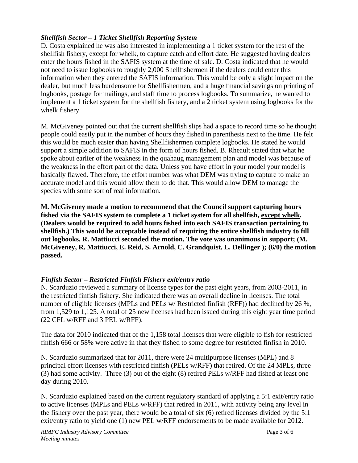#### *Shellfish Sector – 1 Ticket Shellfish Reporting System*

D. Costa explained he was also interested in implementing a 1 ticket system for the rest of the shellfish fishery, except for whelk, to capture catch and effort date. He suggested having dealers enter the hours fished in the SAFIS system at the time of sale. D. Costa indicated that he would not need to issue logbooks to roughly 2,000 Shellfishermen if the dealers could enter this information when they entered the SAFIS information. This would be only a slight impact on the dealer, but much less burdensome for Shellfishermen, and a huge financial savings on printing of logbooks, postage for mailings, and staff time to process logbooks. To summarize, he wanted to implement a 1 ticket system for the shellfish fishery, and a 2 ticket system using logbooks for the whelk fishery.

M. McGiveney pointed out that the current shellfish slips had a space to record time so he thought people could easily put in the number of hours they fished in parenthesis next to the time. He felt this would be much easier than having Shellfishermen complete logbooks. He stated he would support a simple addition to SAFIS in the form of hours fished. B. Rheault stated that what he spoke about earlier of the weakness in the quahaug management plan and model was because of the weakness in the effort part of the data. Unless you have effort in your model your model is basically flawed. Therefore, the effort number was what DEM was trying to capture to make an accurate model and this would allow them to do that. This would allow DEM to manage the species with some sort of real information.

**M. McGiveney made a motion to recommend that the Council support capturing hours fished via the SAFIS system to complete a 1 ticket system for all shellfish, except whelk. (Dealers would be required to add hours fished into each SAFIS transaction pertaining to shellfish.) This would be acceptable instead of requiring the entire shellfish industry to fill out logbooks. R. Mattiucci seconded the motion. The vote was unanimous in support; (M. McGiveney, R. Mattiucci, E. Reid, S. Arnold, C. Grandquist, L. Dellinger ); (6/0) the motion passed.** 

#### *Finfish Sector – Restricted Finfish Fishery exit/entry ratio*

N. Scarduzio reviewed a summary of license types for the past eight years, from 2003-2011, in the restricted finfish fishery. She indicated there was an overall decline in licenses. The total number of eligible licenses (MPLs and PELs w/ Restricted finfish (RFF)) had declined by 26 %, from 1,529 to 1,125. A total of 25 new licenses had been issued during this eight year time period (22 CFL w/RFF and 3 PEL w/RFF).

The data for 2010 indicated that of the 1,158 total licenses that were eligible to fish for restricted finfish 666 or 58% were active in that they fished to some degree for restricted finfish in 2010.

N. Scarduzio summarized that for 2011, there were 24 multipurpose licenses (MPL) and 8 principal effort licenses with restricted finfish (PELs w/RFF) that retired. Of the 24 MPLs, three (3) had some activity. Three (3) out of the eight (8) retired PELs w/RFF had fished at least one day during 2010.

N. Scarduzio explained based on the current regulatory standard of applying a 5:1 exit/entry ratio to active licenses (MPLs and PELs w/RFF) that retired in 2011, with activity being any level in the fishery over the past year, there would be a total of six (6) retired licenses divided by the 5:1 exit/entry ratio to yield one (1) new PEL w/RFF endorsements to be made available for 2012.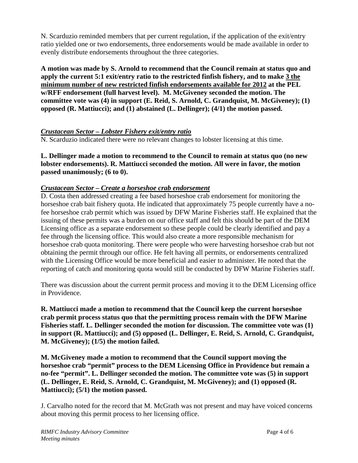N. Scarduzio reminded members that per current regulation, if the application of the exit/entry ratio yielded one or two endorsements, three endorsements would be made available in order to evenly distribute endorsements throughout the three categories.

**A motion was made by S. Arnold to recommend that the Council remain at status quo and apply the current 5:1 exit/entry ratio to the restricted finfish fishery, and to make 3 the minimum number of new restricted finfish endorsements available for 2012 at the PEL w/RFF endorsement (full harvest level). M. McGiveney seconded the motion. The committee vote was (4) in support (E. Reid, S. Arnold, C. Grandquist, M. McGiveney); (1) opposed (R. Mattiucci); and (1) abstained (L. Dellinger); (4/1) the motion passed.** 

#### *Crustacean Sector – Lobster Fishery exit/entry ratio*

N. Scarduzio indicated there were no relevant changes to lobster licensing at this time.

**L. Dellinger made a motion to recommend to the Council to remain at status quo (no new lobster endorsements). R. Mattiucci seconded the motion. All were in favor, the motion passed unanimously; (6 to 0).** 

#### *Crustacean Sector – Create a horseshoe crab endorsement*

D. Costa then addressed creating a fee based horseshoe crab endorsement for monitoring the horseshoe crab bait fishery quota. He indicated that approximately 75 people currently have a nofee horseshoe crab permit which was issued by DFW Marine Fisheries staff. He explained that the issuing of these permits was a burden on our office staff and felt this should be part of the DEM Licensing office as a separate endorsement so these people could be clearly identified and pay a fee through the licensing office. This would also create a more responsible mechanism for horseshoe crab quota monitoring. There were people who were harvesting horseshoe crab but not obtaining the permit through our office. He felt having all permits, or endorsements centralized with the Licensing Office would be more beneficial and easier to administer. He noted that the reporting of catch and monitoring quota would still be conducted by DFW Marine Fisheries staff.

There was discussion about the current permit process and moving it to the DEM Licensing office in Providence.

**R. Mattiucci made a motion to recommend that the Council keep the current horseshoe crab permit process status quo that the permitting process remain with the DFW Marine Fisheries staff. L. Dellinger seconded the motion for discussion. The committee vote was (1) in support (R. Mattiucci); and (5) opposed (L. Dellinger, E. Reid, S. Arnold, C. Grandquist, M. McGiveney); (1/5) the motion failed.** 

**M. McGiveney made a motion to recommend that the Council support moving the horseshoe crab "permit" process to the DEM Licensing Office in Providence but remain a no-fee "permit". L. Dellinger seconded the motion. The committee vote was (5) in support (L. Dellinger, E. Reid, S. Arnold, C. Grandquist, M. McGiveney); and (1) opposed (R. Mattiucci); (5/1) the motion passed.** 

J. Carvalho noted for the record that M. McGrath was not present and may have voiced concerns about moving this permit process to her licensing office.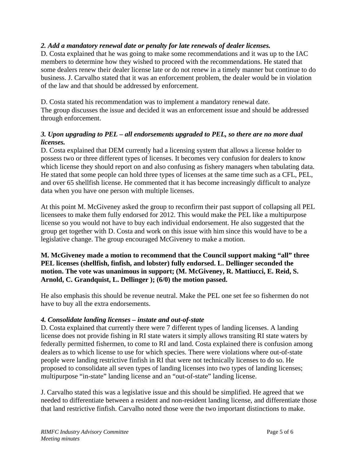#### *2. Add a mandatory renewal date or penalty for late renewals of dealer licenses.*

D. Costa explained that he was going to make some recommendations and it was up to the IAC members to determine how they wished to proceed with the recommendations. He stated that some dealers renew their dealer license late or do not renew in a timely manner but continue to do business. J. Carvalho stated that it was an enforcement problem, the dealer would be in violation of the law and that should be addressed by enforcement.

D. Costa stated his recommendation was to implement a mandatory renewal date. The group discusses the issue and decided it was an enforcement issue and should be addressed through enforcement.

#### *3. Upon upgrading to PEL – all endorsements upgraded to PEL, so there are no more dual licenses.*

D. Costa explained that DEM currently had a licensing system that allows a license holder to possess two or three different types of licenses. It becomes very confusion for dealers to know which license they should report on and also confusing as fishery managers when tabulating data. He stated that some people can hold three types of licenses at the same time such as a CFL, PEL, and over 65 shellfish license. He commented that it has become increasingly difficult to analyze data when you have one person with multiple licenses.

At this point M. McGiveney asked the group to reconfirm their past support of collapsing all PEL licensees to make them fully endorsed for 2012. This would make the PEL like a multipurpose license so you would not have to buy each individual endorsement. He also suggested that the group get together with D. Costa and work on this issue with him since this would have to be a legislative change. The group encouraged McGiveney to make a motion.

#### **M. McGiveney made a motion to recommend that the Council support making "all" three PEL licenses (shellfish, finfish, and lobster) fully endorsed. L. Dellinger seconded the motion. The vote was unanimous in support; (M. McGiveney, R. Mattiucci, E. Reid, S. Arnold, C. Grandquist, L. Dellinger ); (6/0) the motion passed.**

He also emphasis this should be revenue neutral. Make the PEL one set fee so fishermen do not have to buy all the extra endorsements.

#### *4. Consolidate landing licenses – instate and out-of-state*

D. Costa explained that currently there were 7 different types of landing licenses. A landing license does not provide fishing in RI state waters it simply allows transiting RI state waters by federally permitted fishermen, to come to RI and land. Costa explained there is confusion among dealers as to which license to use for which species. There were violations where out-of-state people were landing restrictive finfish in RI that were not technically licenses to do so. He proposed to consolidate all seven types of landing licenses into two types of landing licenses; multipurpose "in-state" landing license and an "out-of-state" landing license.

J. Carvalho stated this was a legislative issue and this should be simplified. He agreed that we needed to differentiate between a resident and non-resident landing license, and differentiate those that land restrictive finfish. Carvalho noted those were the two important distinctions to make.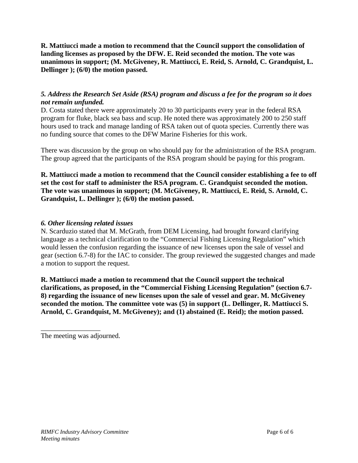**R. Mattiucci made a motion to recommend that the Council support the consolidation of landing licenses as proposed by the DFW. E. Reid seconded the motion. The vote was unanimous in support; (M. McGiveney, R. Mattiucci, E. Reid, S. Arnold, C. Grandquist, L. Dellinger ); (6/0) the motion passed.** 

#### *5. Address the Research Set Aside (RSA) program and discuss a fee for the program so it does not remain unfunded.*

D. Costa stated there were approximately 20 to 30 participants every year in the federal RSA program for fluke, black sea bass and scup. He noted there was approximately 200 to 250 staff hours used to track and manage landing of RSA taken out of quota species. Currently there was no funding source that comes to the DFW Marine Fisheries for this work.

There was discussion by the group on who should pay for the administration of the RSA program. The group agreed that the participants of the RSA program should be paying for this program.

**R. Mattiucci made a motion to recommend that the Council consider establishing a fee to off set the cost for staff to administer the RSA program. C. Grandquist seconded the motion. The vote was unanimous in support; (M. McGiveney, R. Mattiucci, E. Reid, S. Arnold, C. Grandquist, L. Dellinger ); (6/0) the motion passed.** 

#### *6. Other licensing related issues*

N. Scarduzio stated that M. McGrath, from DEM Licensing, had brought forward clarifying language as a technical clarification to the "Commercial Fishing Licensing Regulation" which would lessen the confusion regarding the issuance of new licenses upon the sale of vessel and gear (section 6.7-8) for the IAC to consider. The group reviewed the suggested changes and made a motion to support the request.

**R. Mattiucci made a motion to recommend that the Council support the technical clarifications, as proposed, in the "Commercial Fishing Licensing Regulation" (section 6.7- 8) regarding the issuance of new licenses upon the sale of vessel and gear. M. McGiveney seconded the motion. The committee vote was (5) in support (L. Dellinger, R. Mattiucci S. Arnold, C. Grandquist, M. McGiveney); and (1) abstained (E. Reid); the motion passed.** 

\_\_\_\_\_\_\_\_\_\_\_\_\_\_\_\_\_

The meeting was adjourned.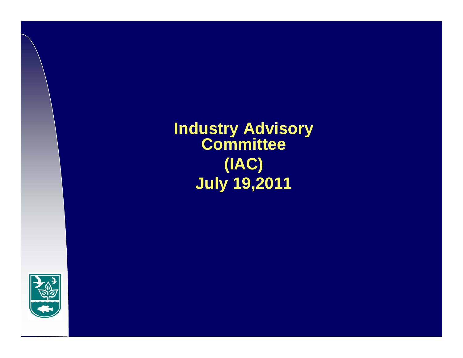**Industry Advisory Committee (IAC) July 19,2011**

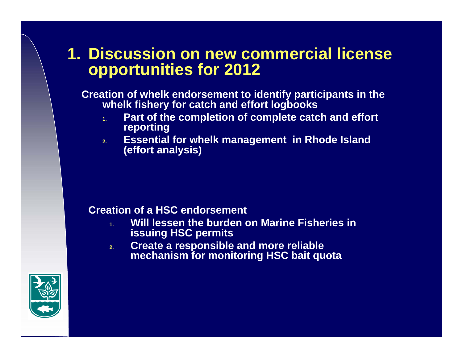### **1. Discussion on new commercial license opportunities for 2012**

**Creation of whelk endorsement to identify participants in the whelk fishery for catch and effort logbooks**

- **1. Part of the completion of complete catch and effort reporting**
- **2. Essential for whelk management in Rhode Island (effort analysis)**

#### **Creation of a HSC endorsement**

- **1. Will lessen the burden on Marine Fisheries in issuing HSC permits**
- **2. Create a responsible and more reliable mechanism for monitoring HSC bait quota**

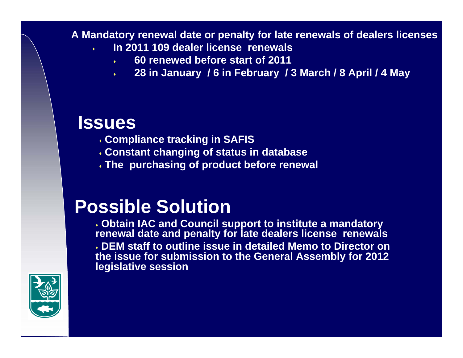#### **A Mandatory renewal date or penalty for late renewals of dealers licenses**

- ٠ **In 2011 109 dealer license renewals** 
	- ٠ **60 renewed before start of 2011**
	- ٠ **28 in January / 6 in February / 3 March / 8 April / 4 May**

### **Issues**

- **Compliance tracking in SAFIS**
- **Constant changing of status in database**
- **The purchasing of product before renewal**

# **Possible Solution**

 **Obtain IAC and Council support to institute a mandatory renewal date and penalty for late dealers license renewals DEM staff to outline issue in detailed Memo to Director on the issue for submission to the General Assembly for 2012 legislative session**

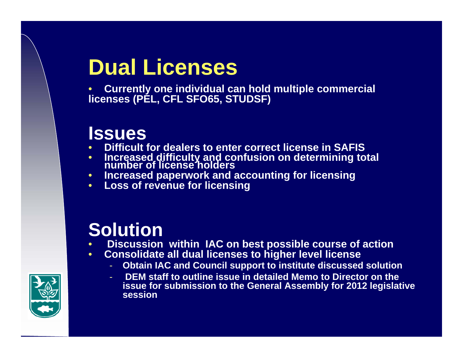# **Dual Licenses**

• **Currently one individual can hold multiple commercial licenses (PEL, CFL SFO65, STUDSF)**

## **Issues**

- •**Difficult for dealers to enter correct license in SAFIS**
- **Increased difficulty and confusion on determining total number of license holders**  •
- $\bullet$ **Increased paperwork and accounting for licensing**
- **Loss of revenue for licensing**

# **Solution**

- •**Discussion within IAC on best possible course of action**
- • **Consolidate all dual licenses to higher level license** 
	- **Obtain IAC and Council support to institute discussed solution**
	- **DEM staff to outline issue in detailed Memo to Director on the issue for submission to the General Assembly for 2012 legislative session**

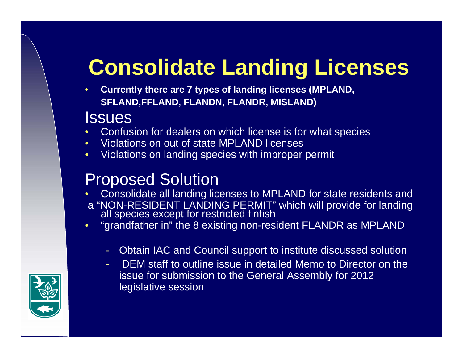# **Consolidate Landing Licenses**

• **Currently there are 7 types of landing licenses (MPLAND, SFLAND,FFLAND, FLANDN, FLANDR, MISLAND)**

### **Issues**

- •Confusion for dealers on which license is for what species
- •Violations on out of state MPLAND licenses
- $\bullet$ Violations on landing species with improper permit

## Proposed Solution

- •Consolidate all landing licenses to MPLAND for state residents and
- <sup>a</sup>"NON-RESIDENT LANDING PERMIT" which will provide for landing all species except for restricted finfish
- • "grandfather in" the 8 existing non-resident FLANDR as MPLAND
	- Obtain IAC and Council support to institute discussed solution
	- - DEM staff to outline issue in detailed Memo to Director on the issue for submission to the General Assembly for 2012 legislative session